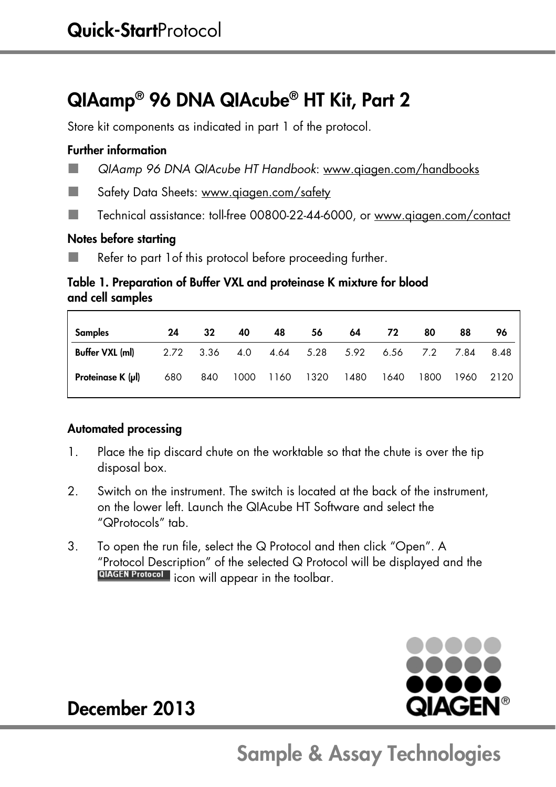### QIAamp® 96 DNA QIAcube® HT Kit, Part 2

Store kit components as indicated in part 1 of the protocol.

#### Further information

- QIAamp 96 DNA QIAcube HT Handbook: www.qiagen.com/handbooks
- Safety Data Sheets: www.qiagen.com/safety
- Technical assistance: toll-free 00800-22-44-6000, or www.qiagen.com/contact

#### Notes before starting

Refer to part 1of this protocol before proceeding further.

#### Table 1. Preparation of Buffer VXL and proteinase K mixture for blood and cell samples

| Samples                                                             | 24  | 32  | 40 | 48             | 56 | 64   | 72   | 80   | 88   | 96   |
|---------------------------------------------------------------------|-----|-----|----|----------------|----|------|------|------|------|------|
| <b>Buffer VXL (ml)</b> 2.72  3.36  4.0  4.64  5.28  5.92  6.56  7.2 |     |     |    |                |    |      |      |      | 7.84 | 8.48 |
| Proteinase K $(\mu)$                                                | 680 | 840 |    | 1000 1160 1320 |    | 1480 | 1640 | 1800 | 1960 | 2120 |

#### Automated processing

- 1. Place the tip discard chute on the worktable so that the chute is over the tip disposal box.
- 2. Switch on the instrument. The switch is located at the back of the instrument, on the lower left. Launch the QIAcube HT Software and select the "QProtocols" tab.
- 3. To open the run file, select the Q Protocol and then click "Open". A "Protocol Description" of the selected Q Protocol will be displayed and the **QIAGEN Protocol** icon will appear in the toolbar.



### December 2013

## Sample & Assay Technologies